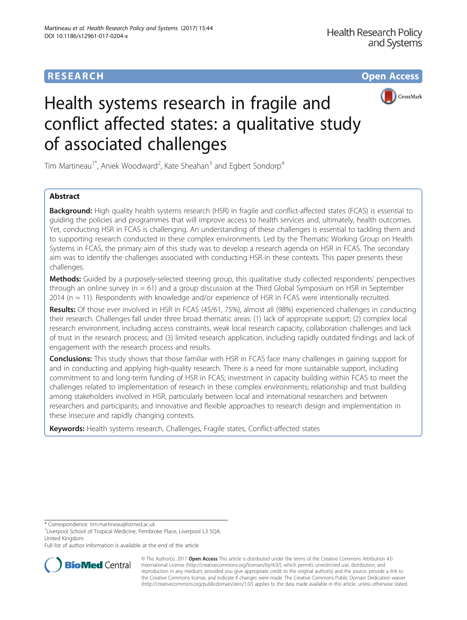# **RESEARCH CHE Open Access**



# Health systems research in fragile and conflict affected states: a qualitative study of associated challenges

Tim Martineau<sup>1\*</sup>, Aniek Woodward<sup>2</sup>, Kate Sheahan<sup>3</sup> and Egbert Sondorp<sup>4</sup>

# Abstract

**Background:** High quality health systems research (HSR) in fragile and conflict-affected states (FCAS) is essential to guiding the policies and programmes that will improve access to health services and, ultimately, health outcomes. Yet, conducting HSR in FCAS is challenging. An understanding of these challenges is essential to tackling them and to supporting research conducted in these complex environments. Led by the Thematic Working Group on Health Systems in FCAS, the primary aim of this study was to develop a research agenda on HSR in FCAS. The secondary aim was to identify the challenges associated with conducting HSR in these contexts. This paper presents these challenges.

Methods: Guided by a purposely-selected steering group, this qualitative study collected respondents' perspectives through an online survey ( $n = 61$ ) and a group discussion at the Third Global Symposium on HSR in September 2014 (n = 11). Respondents with knowledge and/or experience of HSR in FCAS were intentionally recruited.

Results: Of those ever involved in HSR in FCAS (45/61, 75%), almost all (98%) experienced challenges in conducting their research. Challenges fall under three broad thematic areas: (1) lack of appropriate support; (2) complex local research environment, including access constraints, weak local research capacity, collaboration challenges and lack of trust in the research process; and (3) limited research application, including rapidly outdated findings and lack of engagement with the research process and results.

Conclusions: This study shows that those familiar with HSR in FCAS face many challenges in gaining support for and in conducting and applying high-quality research. There is a need for more sustainable support, including commitment to and long-term funding of HSR in FCAS; investment in capacity building within FCAS to meet the challenges related to implementation of research in these complex environments; relationship and trust building among stakeholders involved in HSR, particularly between local and international researchers and between researchers and participants; and innovative and flexible approaches to research design and implementation in these insecure and rapidly changing contexts.

Keywords: Health systems research, Challenges, Fragile states, Conflict-affected states

\* Correspondence: [tim.martineau@lstmed.ac.uk](mailto:tim.martineau@lstmed.ac.uk) <sup>1</sup>

<sup>1</sup> Liverpool School of Tropical Medicine, Pembroke Place, Liverpool L3 5QA, United Kingdom

Full list of author information is available at the end of the article



© The Author(s). 2017 **Open Access** This article is distributed under the terms of the Creative Commons Attribution 4.0 International License [\(http://creativecommons.org/licenses/by/4.0/](http://creativecommons.org/licenses/by/4.0/)), which permits unrestricted use, distribution, and reproduction in any medium, provided you give appropriate credit to the original author(s) and the source, provide a link to the Creative Commons license, and indicate if changes were made. The Creative Commons Public Domain Dedication waiver [\(http://creativecommons.org/publicdomain/zero/1.0/](http://creativecommons.org/publicdomain/zero/1.0/)) applies to the data made available in this article, unless otherwise stated.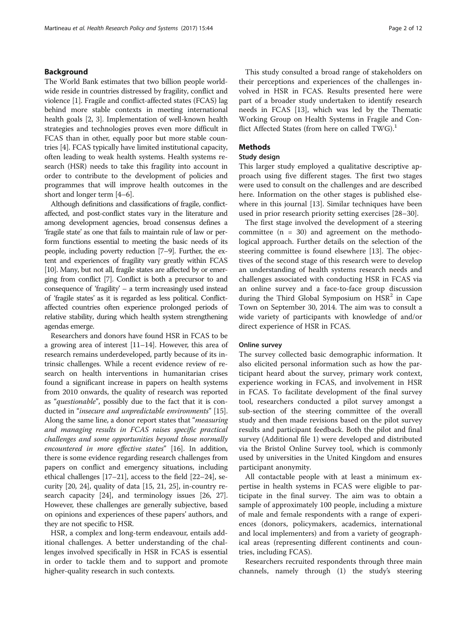# Background

The World Bank estimates that two billion people worldwide reside in countries distressed by fragility, conflict and violence [\[1](#page-9-0)]. Fragile and conflict-affected states (FCAS) lag behind more stable contexts in meeting international health goals [[2, 3](#page-9-0)]. Implementation of well-known health strategies and technologies proves even more difficult in FCAS than in other, equally poor but more stable countries [[4](#page-9-0)]. FCAS typically have limited institutional capacity, often leading to weak health systems. Health systems research (HSR) needs to take this fragility into account in order to contribute to the development of policies and programmes that will improve health outcomes in the short and longer term [\[4](#page-9-0)–[6\]](#page-9-0).

Although definitions and classifications of fragile, conflictaffected, and post-conflict states vary in the literature and among development agencies, broad consensus defines a 'fragile state' as one that fails to maintain rule of law or perform functions essential to meeting the basic needs of its people, including poverty reduction [\[7](#page-10-0)–[9](#page-10-0)]. Further, the extent and experiences of fragility vary greatly within FCAS [[10\]](#page-10-0). Many, but not all, fragile states are affected by or emerging from conflict [\[7](#page-10-0)]. Conflict is both a precursor to and consequence of 'fragility' – a term increasingly used instead of 'fragile states' as it is regarded as less political. Conflictaffected countries often experience prolonged periods of relative stability, during which health system strengthening agendas emerge.

Researchers and donors have found HSR in FCAS to be a growing area of interest [\[11](#page-10-0)–[14](#page-10-0)]. However, this area of research remains underdeveloped, partly because of its intrinsic challenges. While a recent evidence review of research on health interventions in humanitarian crises found a significant increase in papers on health systems from 2010 onwards, the quality of research was reported as "questionable", possibly due to the fact that it is conducted in "insecure and unpredictable environments" [[15](#page-10-0)]. Along the same line, a donor report states that "measuring and managing results in FCAS raises specific practical challenges and some opportunities beyond those normally encountered in more effective states" [[16\]](#page-10-0). In addition, there is some evidence regarding research challenges from papers on conflict and emergency situations, including ethical challenges [\[17](#page-10-0)–[21\]](#page-10-0), access to the field [\[22](#page-10-0)–[24\]](#page-10-0), security [\[20, 24](#page-10-0)], quality of data [[15](#page-10-0), [21, 25\]](#page-10-0), in-country research capacity [[24](#page-10-0)], and terminology issues [\[26, 27](#page-10-0)]. However, these challenges are generally subjective, based on opinions and experiences of these papers' authors, and they are not specific to HSR.

HSR, a complex and long-term endeavour, entails additional challenges. A better understanding of the challenges involved specifically in HSR in FCAS is essential in order to tackle them and to support and promote higher-quality research in such contexts.

This study consulted a broad range of stakeholders on their perceptions and experiences of the challenges involved in HSR in FCAS. Results presented here were part of a broader study undertaken to identify research needs in FCAS [\[13\]](#page-10-0), which was led by the Thematic Working Group on Health Systems in Fragile and Conflict Affected States (from here on called TWG).<sup>1</sup>

# **Methods**

# Study design

This larger study employed a qualitative descriptive approach using five different stages. The first two stages were used to consult on the challenges and are described here. Information on the other stages is published elsewhere in this journal [\[13](#page-10-0)]. Similar techniques have been used in prior research priority setting exercises [\[28](#page-10-0)–[30\]](#page-10-0).

The first stage involved the development of a steering committee  $(n = 30)$  and agreement on the methodological approach. Further details on the selection of the steering committee is found elsewhere [\[13\]](#page-10-0). The objectives of the second stage of this research were to develop an understanding of health systems research needs and challenges associated with conducting HSR in FCAS via an online survey and a face-to-face group discussion during the Third Global Symposium on  $HSR<sup>2</sup>$  in Cape Town on September 30, 2014. The aim was to consult a wide variety of participants with knowledge of and/or direct experience of HSR in FCAS.

#### Online survey

The survey collected basic demographic information. It also elicited personal information such as how the participant heard about the survey, primary work context, experience working in FCAS, and involvement in HSR in FCAS. To facilitate development of the final survey tool, researchers conducted a pilot survey amongst a sub-section of the steering committee of the overall study and then made revisions based on the pilot survey results and participant feedback. Both the pilot and final survey (Additional file [1\)](#page-9-0) were developed and distributed via the Bristol Online Survey tool, which is commonly used by universities in the United Kingdom and ensures participant anonymity.

All contactable people with at least a minimum expertise in health systems in FCAS were eligible to participate in the final survey. The aim was to obtain a sample of approximately 100 people, including a mixture of male and female respondents with a range of experiences (donors, policymakers, academics, international and local implementers) and from a variety of geographical areas (representing different continents and countries, including FCAS).

Researchers recruited respondents through three main channels, namely through (1) the study's steering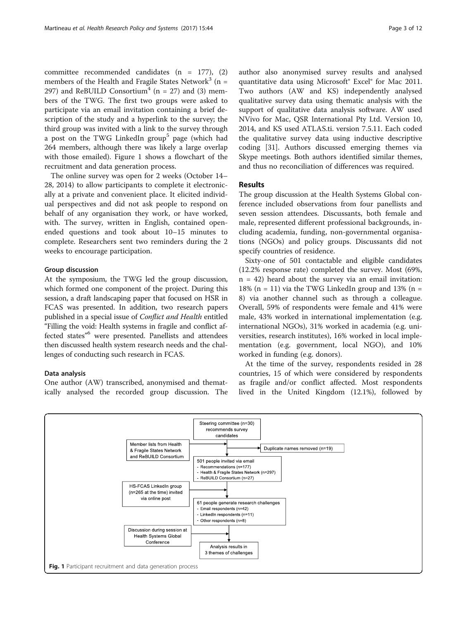committee recommended candidates (n = 177), (2) members of the Health and Fragile States Network<sup>3</sup> (n = 297) and ReBUILD Consortium<sup>4</sup> ( $n = 27$ ) and (3) members of the TWG. The first two groups were asked to participate via an email invitation containing a brief description of the study and a hyperlink to the survey; the third group was invited with a link to the survey through a post on the TWG LinkedIn group<sup>5</sup> page (which had 264 members, although there was likely a large overlap with those emailed). Figure 1 shows a flowchart of the recruitment and data generation process.

The online survey was open for 2 weeks (October 14– 28, 2014) to allow participants to complete it electronically at a private and convenient place. It elicited individual perspectives and did not ask people to respond on behalf of any organisation they work, or have worked, with. The survey, written in English, contained openended questions and took about 10–15 minutes to complete. Researchers sent two reminders during the 2 weeks to encourage participation.

#### Group discussion

At the symposium, the TWG led the group discussion, which formed one component of the project. During this session, a draft landscaping paper that focused on HSR in FCAS was presented. In addition, two research papers published in a special issue of Conflict and Health entitled "Filling the void: Health systems in fragile and conflict affected states" <sup>6</sup> were presented. Panellists and attendees then discussed health system research needs and the challenges of conducting such research in FCAS.

#### Data analysis

One author (AW) transcribed, anonymised and thematically analysed the recorded group discussion. The author also anonymised survey results and analysed quantitative data using Microsoft® Excel® for Mac 2011. Two authors (AW and KS) independently analysed qualitative survey data using thematic analysis with the support of qualitative data analysis software. AW used NVivo for Mac, QSR International Pty Ltd. Version 10, 2014, and KS used ATLAS.ti. version 7.5.11. Each coded the qualitative survey data using inductive descriptive coding [[31](#page-10-0)]. Authors discussed emerging themes via Skype meetings. Both authors identified similar themes, and thus no reconciliation of differences was required.

#### Results

The group discussion at the Health Systems Global conference included observations from four panellists and seven session attendees. Discussants, both female and male, represented different professional backgrounds, including academia, funding, non-governmental organisations (NGOs) and policy groups. Discussants did not specify countries of residence.

Sixty-one of 501 contactable and eligible candidates (12.2% response rate) completed the survey. Most (69%,  $n = 42$ ) heard about the survey via an email invitation: 18% ( $n = 11$ ) via the TWG LinkedIn group and 13% ( $n =$ 8) via another channel such as through a colleague. Overall, 59% of respondents were female and 41% were male, 43% worked in international implementation (e.g. international NGOs), 31% worked in academia (e.g. universities, research institutes), 16% worked in local implementation (e.g. government, local NGO), and 10% worked in funding (e.g. donors).

At the time of the survey, respondents resided in 28 countries, 15 of which were considered by respondents as fragile and/or conflict affected. Most respondents lived in the United Kingdom (12.1%), followed by

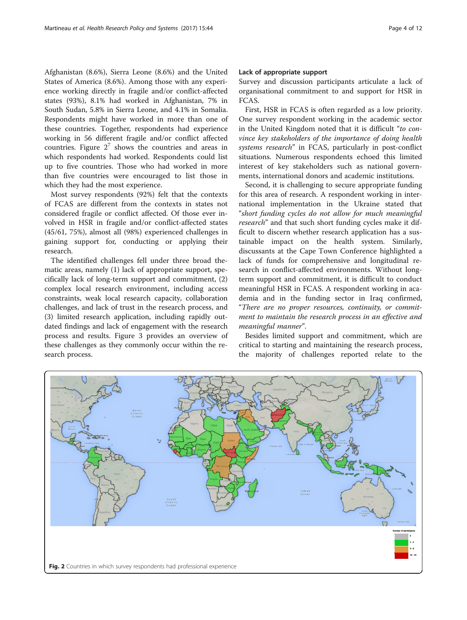Afghanistan (8.6%), Sierra Leone (8.6%) and the United States of America (8.6%). Among those with any experience working directly in fragile and/or conflict-affected states (93%), 8.1% had worked in Afghanistan, 7% in South Sudan, 5.8% in Sierra Leone, and 4.1% in Somalia. Respondents might have worked in more than one of these countries. Together, respondents had experience working in 56 different fragile and/or conflict affected countries. Figure  $2^7$  shows the countries and areas in which respondents had worked. Respondents could list up to five countries. Those who had worked in more than five countries were encouraged to list those in which they had the most experience.

Most survey respondents (92%) felt that the contexts of FCAS are different from the contexts in states not considered fragile or conflict affected. Of those ever involved in HSR in fragile and/or conflict-affected states (45/61, 75%), almost all (98%) experienced challenges in gaining support for, conducting or applying their research.

The identified challenges fell under three broad thematic areas, namely (1) lack of appropriate support, specifically lack of long-term support and commitment, (2) complex local research environment, including access constraints, weak local research capacity, collaboration challenges, and lack of trust in the research process, and (3) limited research application, including rapidly outdated findings and lack of engagement with the research process and results. Figure [3](#page-4-0) provides an overview of these challenges as they commonly occur within the research process.

## Lack of appropriate support

Survey and discussion participants articulate a lack of organisational commitment to and support for HSR in FCAS.

First, HSR in FCAS is often regarded as a low priority. One survey respondent working in the academic sector in the United Kingdom noted that it is difficult "to convince key stakeholders of the importance of doing health systems research" in FCAS, particularly in post-conflict situations. Numerous respondents echoed this limited interest of key stakeholders such as national governments, international donors and academic institutions.

Second, it is challenging to secure appropriate funding for this area of research. A respondent working in international implementation in the Ukraine stated that "short funding cycles do not allow for much meaningful research" and that such short funding cycles make it difficult to discern whether research application has a sustainable impact on the health system. Similarly, discussants at the Cape Town Conference highlighted a lack of funds for comprehensive and longitudinal research in conflict-affected environments. Without longterm support and commitment, it is difficult to conduct meaningful HSR in FCAS. A respondent working in academia and in the funding sector in Iraq confirmed, "There are no proper resources, continuity, or commitment to maintain the research process in an effective and meaningful manner".

Besides limited support and commitment, which are critical to starting and maintaining the research process, the majority of challenges reported relate to the

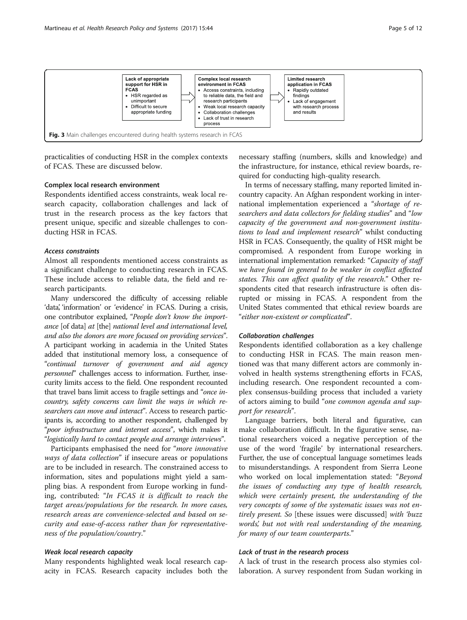

<span id="page-4-0"></span>

practicalities of conducting HSR in the complex contexts of FCAS. These are discussed below.

#### Complex local research environment

Respondents identified access constraints, weak local research capacity, collaboration challenges and lack of trust in the research process as the key factors that present unique, specific and sizeable challenges to conducting HSR in FCAS.

#### Access constraints

Almost all respondents mentioned access constraints as a significant challenge to conducting research in FCAS. These include access to reliable data, the field and research participants.

Many underscored the difficulty of accessing reliable 'data,' 'information' or 'evidence' in FCAS. During a crisis, one contributor explained, "People don't know the importance [of data] at [the] national level and international level, and also the donors are more focused on providing services". A participant working in academia in the United States added that institutional memory loss, a consequence of "continual turnover of government and aid agency personnel" challenges access to information. Further, insecurity limits access to the field. One respondent recounted that travel bans limit access to fragile settings and "once incountry, safety concerns can limit the ways in which researchers can move and interact". Access to research participants is, according to another respondent, challenged by "poor infrastructure and internet access", which makes it "logistically hard to contact people and arrange interviews".

Participants emphasised the need for "more innovative ways of data collection" if insecure areas or populations are to be included in research. The constrained access to information, sites and populations might yield a sampling bias. A respondent from Europe working in funding, contributed: "In FCAS it is difficult to reach the target areas/populations for the research. In more cases, research areas are convenience-selected and based on security and ease-of-access rather than for representativeness of the population/country."

# Weak local research capacity

Many respondents highlighted weak local research capacity in FCAS. Research capacity includes both the necessary staffing (numbers, skills and knowledge) and the infrastructure, for instance, ethical review boards, required for conducting high-quality research.

In terms of necessary staffing, many reported limited incountry capacity. An Afghan respondent working in international implementation experienced a "shortage of researchers and data collectors for fielding studies" and "low capacity of the government and non-government institutions to lead and implement research" whilst conducting HSR in FCAS. Consequently, the quality of HSR might be compromised. A respondent from Europe working in international implementation remarked: "Capacity of staff we have found in general to be weaker in conflict affected states. This can affect quality of the research." Other respondents cited that research infrastructure is often disrupted or missing in FCAS. A respondent from the United States commented that ethical review boards are "either non-existent or complicated".

#### Collaboration challenges

Respondents identified collaboration as a key challenge to conducting HSR in FCAS. The main reason mentioned was that many different actors are commonly involved in health systems strengthening efforts in FCAS, including research. One respondent recounted a complex consensus-building process that included a variety of actors aiming to build "one common agenda and support for research".

Language barriers, both literal and figurative, can make collaboration difficult. In the figurative sense, national researchers voiced a negative perception of the use of the word 'fragile' by international researchers. Further, the use of conceptual language sometimes leads to misunderstandings. A respondent from Sierra Leone who worked on local implementation stated: "Beyond the issues of conducting any type of health research, which were certainly present, the understanding of the very concepts of some of the systematic issues was not entirely present. So [these issues were discussed] with 'buzz words', but not with real understanding of the meaning, for many of our team counterparts."

#### Lack of trust in the research process

A lack of trust in the research process also stymies collaboration. A survey respondent from Sudan working in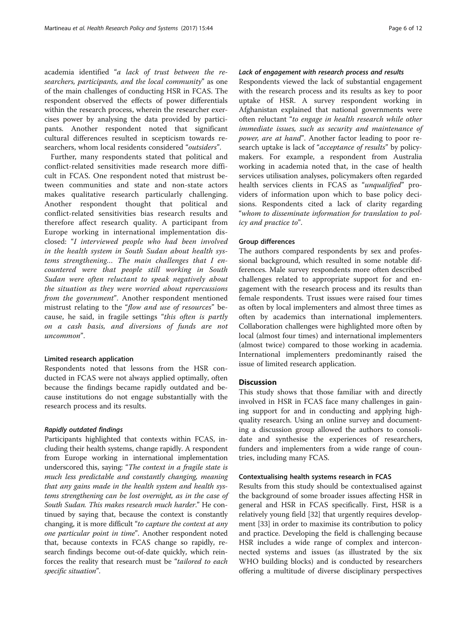academia identified "a lack of trust between the researchers, participants, and the local community" as one of the main challenges of conducting HSR in FCAS. The respondent observed the effects of power differentials within the research process, wherein the researcher exercises power by analysing the data provided by participants. Another respondent noted that significant cultural differences resulted in scepticism towards researchers, whom local residents considered "outsiders".

Further, many respondents stated that political and conflict-related sensitivities made research more difficult in FCAS. One respondent noted that mistrust between communities and state and non-state actors makes qualitative research particularly challenging. Another respondent thought that political and conflict-related sensitivities bias research results and therefore affect research quality. A participant from Europe working in international implementation disclosed: "I interviewed people who had been involved in the health system in South Sudan about health systems strengthening… The main challenges that I encountered were that people still working in South Sudan were often reluctant to speak negatively about the situation as they were worried about repercussions from the government". Another respondent mentioned mistrust relating to the "flow and use of resources" because, he said, in fragile settings "this often is partly on a cash basis, and diversions of funds are not uncommon".

#### Limited research application

Respondents noted that lessons from the HSR conducted in FCAS were not always applied optimally, often because the findings became rapidly outdated and because institutions do not engage substantially with the research process and its results.

#### Rapidly outdated findings

Participants highlighted that contexts within FCAS, including their health systems, change rapidly. A respondent from Europe working in international implementation underscored this, saying: "The context in a fragile state is much less predictable and constantly changing, meaning that any gains made in the health system and health systems strengthening can be lost overnight, as in the case of South Sudan. This makes research much harder." He continued by saying that, because the context is constantly changing, it is more difficult "to capture the context at any one particular point in time". Another respondent noted that, because contexts in FCAS change so rapidly, research findings become out-of-date quickly, which reinforces the reality that research must be "tailored to each specific situation".

# Lack of engagement with research process and results

Respondents viewed the lack of substantial engagement with the research process and its results as key to poor uptake of HSR. A survey respondent working in Afghanistan explained that national governments were often reluctant "to engage in health research while other immediate issues, such as security and maintenance of power, are at hand". Another factor leading to poor research uptake is lack of "acceptance of results" by policymakers. For example, a respondent from Australia working in academia noted that, in the case of health services utilisation analyses, policymakers often regarded health services clients in FCAS as "unqualified" providers of information upon which to base policy decisions. Respondents cited a lack of clarity regarding "whom to disseminate information for translation to policy and practice to".

#### Group differences

The authors compared respondents by sex and professional background, which resulted in some notable differences. Male survey respondents more often described challenges related to appropriate support for and engagement with the research process and its results than female respondents. Trust issues were raised four times as often by local implementers and almost three times as often by academics than international implementers. Collaboration challenges were highlighted more often by local (almost four times) and international implementers (almost twice) compared to those working in academia. International implementers predominantly raised the issue of limited research application.

#### **Discussion**

This study shows that those familiar with and directly involved in HSR in FCAS face many challenges in gaining support for and in conducting and applying highquality research. Using an online survey and documenting a discussion group allowed the authors to consolidate and synthesise the experiences of researchers, funders and implementers from a wide range of countries, including many FCAS.

#### Contextualising health systems research in FCAS

Results from this study should be contextualised against the background of some broader issues affecting HSR in general and HSR in FCAS specifically. First, HSR is a relatively young field [[32\]](#page-10-0) that urgently requires development [[33\]](#page-10-0) in order to maximise its contribution to policy and practice. Developing the field is challenging because HSR includes a wide range of complex and interconnected systems and issues (as illustrated by the six WHO building blocks) and is conducted by researchers offering a multitude of diverse disciplinary perspectives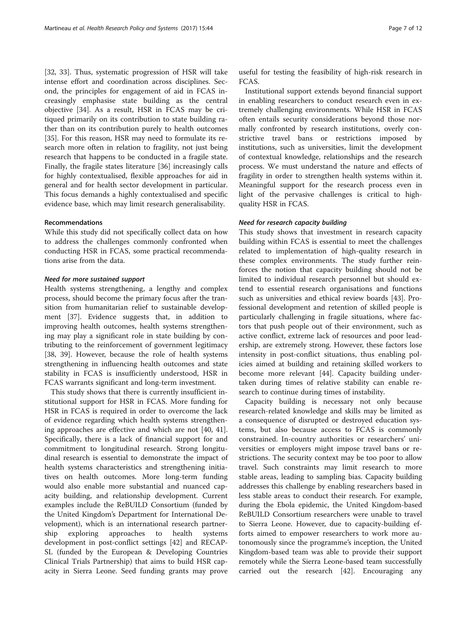[[32, 33\]](#page-10-0). Thus, systematic progression of HSR will take intense effort and coordination across disciplines. Second, the principles for engagement of aid in FCAS increasingly emphasise state building as the central objective [[34\]](#page-10-0). As a result, HSR in FCAS may be critiqued primarily on its contribution to state building rather than on its contribution purely to health outcomes [[35\]](#page-10-0). For this reason, HSR may need to formulate its research more often in relation to fragility, not just being research that happens to be conducted in a fragile state. Finally, the fragile states literature [\[36](#page-10-0)] increasingly calls for highly contextualised, flexible approaches for aid in general and for health sector development in particular. This focus demands a highly contextualised and specific evidence base, which may limit research generalisability.

#### Recommendations

While this study did not specifically collect data on how to address the challenges commonly confronted when conducting HSR in FCAS, some practical recommendations arise from the data.

## Need for more sustained support

Health systems strengthening, a lengthy and complex process, should become the primary focus after the transition from humanitarian relief to sustainable development [\[37\]](#page-10-0). Evidence suggests that, in addition to improving health outcomes, health systems strengthening may play a significant role in state building by contributing to the reinforcement of government legitimacy [[38, 39\]](#page-10-0). However, because the role of health systems strengthening in influencing health outcomes and state stability in FCAS is insufficiently understood, HSR in FCAS warrants significant and long-term investment.

This study shows that there is currently insufficient institutional support for HSR in FCAS. More funding for HSR in FCAS is required in order to overcome the lack of evidence regarding which health systems strengthening approaches are effective and which are not [[40, 41](#page-10-0)]. Specifically, there is a lack of financial support for and commitment to longitudinal research. Strong longitudinal research is essential to demonstrate the impact of health systems characteristics and strengthening initiatives on health outcomes. More long-term funding would also enable more substantial and nuanced capacity building, and relationship development. Current examples include the ReBUILD Consortium (funded by the United Kingdom's Department for International Development), which is an international research partnership exploring approaches to health systems development in post-conflict settings [[42](#page-10-0)] and RECAP-SL (funded by the European & Developing Countries Clinical Trials Partnership) that aims to build HSR capacity in Sierra Leone. Seed funding grants may prove

useful for testing the feasibility of high-risk research in FCAS.

Institutional support extends beyond financial support in enabling researchers to conduct research even in extremely challenging environments. While HSR in FCAS often entails security considerations beyond those normally confronted by research institutions, overly constrictive travel bans or restrictions imposed by institutions, such as universities, limit the development of contextual knowledge, relationships and the research process. We must understand the nature and effects of fragility in order to strengthen health systems within it. Meaningful support for the research process even in light of the pervasive challenges is critical to highquality HSR in FCAS.

#### Need for research capacity building

This study shows that investment in research capacity building within FCAS is essential to meet the challenges related to implementation of high-quality research in these complex environments. The study further reinforces the notion that capacity building should not be limited to individual research personnel but should extend to essential research organisations and functions such as universities and ethical review boards [[43\]](#page-10-0). Professional development and retention of skilled people is particularly challenging in fragile situations, where factors that push people out of their environment, such as active conflict, extreme lack of resources and poor leadership, are extremely strong. However, these factors lose intensity in post-conflict situations, thus enabling policies aimed at building and retaining skilled workers to become more relevant [[44](#page-10-0)]. Capacity building undertaken during times of relative stability can enable research to continue during times of instability.

Capacity building is necessary not only because research-related knowledge and skills may be limited as a consequence of disrupted or destroyed education systems, but also because access to FCAS is commonly constrained. In-country authorities or researchers' universities or employers might impose travel bans or restrictions. The security context may be too poor to allow travel. Such constraints may limit research to more stable areas, leading to sampling bias. Capacity building addresses this challenge by enabling researchers based in less stable areas to conduct their research. For example, during the Ebola epidemic, the United Kingdom-based ReBUILD Consortium researchers were unable to travel to Sierra Leone. However, due to capacity-building efforts aimed to empower researchers to work more autonomously since the programme's inception, the United Kingdom-based team was able to provide their support remotely while the Sierra Leone-based team successfully carried out the research [[42](#page-10-0)]. Encouraging any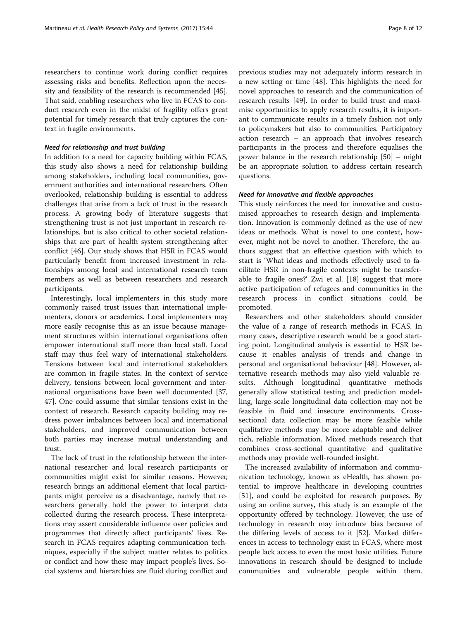researchers to continue work during conflict requires assessing risks and benefits. Reflection upon the necessity and feasibility of the research is recommended [\[45](#page-10-0)]. That said, enabling researchers who live in FCAS to conduct research even in the midst of fragility offers great potential for timely research that truly captures the context in fragile environments.

#### Need for relationship and trust building

In addition to a need for capacity building within FCAS, this study also shows a need for relationship building among stakeholders, including local communities, government authorities and international researchers. Often overlooked, relationship building is essential to address challenges that arise from a lack of trust in the research process. A growing body of literature suggests that strengthening trust is not just important in research relationships, but is also critical to other societal relationships that are part of health system strengthening after conflict [[46](#page-10-0)]. Our study shows that HSR in FCAS would particularly benefit from increased investment in relationships among local and international research team members as well as between researchers and research participants.

Interestingly, local implementers in this study more commonly raised trust issues than international implementers, donors or academics. Local implementers may more easily recognise this as an issue because management structures within international organisations often empower international staff more than local staff. Local staff may thus feel wary of international stakeholders. Tensions between local and international stakeholders are common in fragile states. In the context of service delivery, tensions between local government and international organisations have been well documented [[37](#page-10-0), [47\]](#page-10-0). One could assume that similar tensions exist in the context of research. Research capacity building may redress power imbalances between local and international stakeholders, and improved communication between both parties may increase mutual understanding and trust.

The lack of trust in the relationship between the international researcher and local research participants or communities might exist for similar reasons. However, research brings an additional element that local participants might perceive as a disadvantage, namely that researchers generally hold the power to interpret data collected during the research process. These interpretations may assert considerable influence over policies and programmes that directly affect participants' lives. Research in FCAS requires adapting communication techniques, especially if the subject matter relates to politics or conflict and how these may impact people's lives. Social systems and hierarchies are fluid during conflict and

previous studies may not adequately inform research in a new setting or time [\[48](#page-10-0)]. This highlights the need for novel approaches to research and the communication of research results [[49\]](#page-10-0). In order to build trust and maximise opportunities to apply research results, it is important to communicate results in a timely fashion not only to policymakers but also to communities. Participatory action research – an approach that involves research participants in the process and therefore equalises the power balance in the research relationship [[50](#page-10-0)] – might be an appropriate solution to address certain research questions.

#### Need for innovative and flexible approaches

This study reinforces the need for innovative and customised approaches to research design and implementation. Innovation is commonly defined as the use of new ideas or methods. What is novel to one context, however, might not be novel to another. Therefore, the authors suggest that an effective question with which to start is 'What ideas and methods effectively used to facilitate HSR in non-fragile contexts might be transferable to fragile ones?' Zwi et al. [\[18\]](#page-10-0) suggest that more active participation of refugees and communities in the research process in conflict situations could be promoted.

Researchers and other stakeholders should consider the value of a range of research methods in FCAS. In many cases, descriptive research would be a good starting point. Longitudinal analysis is essential to HSR because it enables analysis of trends and change in personal and organisational behaviour [\[48](#page-10-0)]. However, alternative research methods may also yield valuable results. Although longitudinal quantitative methods generally allow statistical testing and prediction modelling, large-scale longitudinal data collection may not be feasible in fluid and insecure environments. Crosssectional data collection may be more feasible while qualitative methods may be more adaptable and deliver rich, reliable information. Mixed methods research that combines cross-sectional quantitative and qualitative methods may provide well-rounded insight.

The increased availability of information and communication technology, known as eHealth, has shown potential to improve healthcare in developing countries [[51\]](#page-10-0), and could be exploited for research purposes. By using an online survey, this study is an example of the opportunity offered by technology. However, the use of technology in research may introduce bias because of the differing levels of access to it [\[52](#page-11-0)]. Marked differences in access to technology exist in FCAS, where most people lack access to even the most basic utilities. Future innovations in research should be designed to include communities and vulnerable people within them.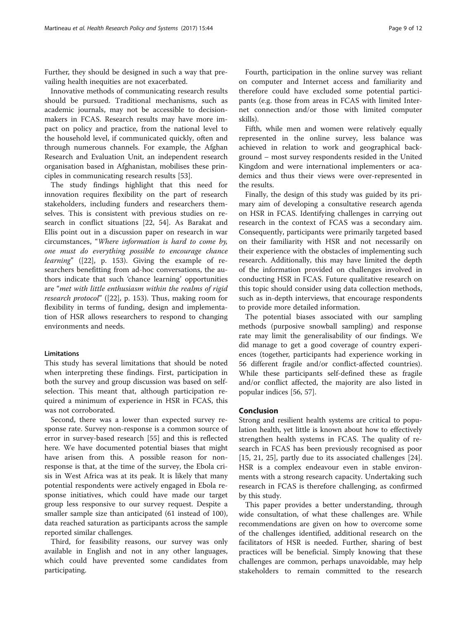Further, they should be designed in such a way that prevailing health inequities are not exacerbated.

Innovative methods of communicating research results should be pursued. Traditional mechanisms, such as academic journals, may not be accessible to decisionmakers in FCAS. Research results may have more impact on policy and practice, from the national level to the household level, if communicated quickly, often and through numerous channels. For example, the Afghan Research and Evaluation Unit, an independent research organisation based in Afghanistan, mobilises these principles in communicating research results [\[53\]](#page-11-0).

The study findings highlight that this need for innovation requires flexibility on the part of research stakeholders, including funders and researchers themselves. This is consistent with previous studies on research in conflict situations [\[22,](#page-10-0) [54](#page-11-0)]. As Barakat and Ellis point out in a discussion paper on research in war circumstances, "Where information is hard to come by, one must do everything possible to encourage chance learning" ([[22\]](#page-10-0), p. 153). Giving the example of researchers benefitting from ad-hoc conversations, the authors indicate that such 'chance learning' opportunities are "met with little enthusiasm within the realms of rigid research protocol" ([[22\]](#page-10-0), p. 153). Thus, making room for flexibility in terms of funding, design and implementation of HSR allows researchers to respond to changing environments and needs.

# Limitations

This study has several limitations that should be noted when interpreting these findings. First, participation in both the survey and group discussion was based on selfselection. This meant that, although participation required a minimum of experience in HSR in FCAS, this was not corroborated.

Second, there was a lower than expected survey response rate. Survey non-response is a common source of error in survey-based research [[55\]](#page-11-0) and this is reflected here. We have documented potential biases that might have arisen from this. A possible reason for nonresponse is that, at the time of the survey, the Ebola crisis in West Africa was at its peak. It is likely that many potential respondents were actively engaged in Ebola response initiatives, which could have made our target group less responsive to our survey request. Despite a smaller sample size than anticipated (61 instead of 100), data reached saturation as participants across the sample reported similar challenges.

Third, for feasibility reasons, our survey was only available in English and not in any other languages, which could have prevented some candidates from participating.

Fourth, participation in the online survey was reliant on computer and Internet access and familiarity and therefore could have excluded some potential participants (e.g. those from areas in FCAS with limited Internet connection and/or those with limited computer skills).

Fifth, while men and women were relatively equally represented in the online survey, less balance was achieved in relation to work and geographical background – most survey respondents resided in the United Kingdom and were international implementers or academics and thus their views were over-represented in the results.

Finally, the design of this study was guided by its primary aim of developing a consultative research agenda on HSR in FCAS. Identifying challenges in carrying out research in the context of FCAS was a secondary aim. Consequently, participants were primarily targeted based on their familiarity with HSR and not necessarily on their experience with the obstacles of implementing such research. Additionally, this may have limited the depth of the information provided on challenges involved in conducting HSR in FCAS. Future qualitative research on this topic should consider using data collection methods, such as in-depth interviews, that encourage respondents to provide more detailed information.

The potential biases associated with our sampling methods (purposive snowball sampling) and response rate may limit the generalisability of our findings. We did manage to get a good coverage of country experiences (together, participants had experience working in 56 different fragile and/or conflict-affected countries). While these participants self-defined these as fragile and/or conflict affected, the majority are also listed in popular indices [[56](#page-11-0), [57](#page-11-0)].

#### Conclusion

Strong and resilient health systems are critical to population health, yet little is known about how to effectively strengthen health systems in FCAS. The quality of research in FCAS has been previously recognised as poor [[15, 21](#page-10-0), [25](#page-10-0)], partly due to its associated challenges [\[24](#page-10-0)]. HSR is a complex endeavour even in stable environments with a strong research capacity. Undertaking such research in FCAS is therefore challenging, as confirmed by this study.

This paper provides a better understanding, through wide consultation, of what these challenges are. While recommendations are given on how to overcome some of the challenges identified, additional research on the facilitators of HSR is needed. Further, sharing of best practices will be beneficial. Simply knowing that these challenges are common, perhaps unavoidable, may help stakeholders to remain committed to the research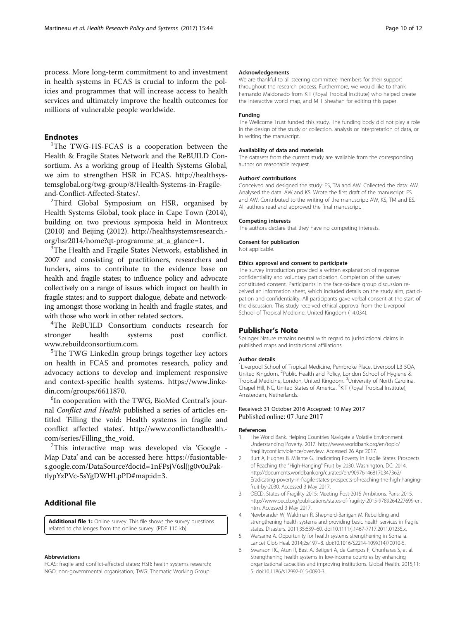<span id="page-9-0"></span>process. More long-term commitment to and investment in health systems in FCAS is crucial to inform the policies and programmes that will increase access to health services and ultimately improve the health outcomes for millions of vulnerable people worldwide.

# **Endnotes**

<sup>1</sup>The TWG-HS-FCAS is a cooperation between the Health & Fragile States Network and the ReBUILD Consortium. As a working group of Health Systems Global, we aim to strengthen HSR in FCAS. [http://healthsys](http://healthsystemsglobal.org/twg-group/8/Health-Systems-in-Fragile-and-Conflict-Affected-States/)[temsglobal.org/twg-group/8/Health-Systems-in-Fragile](http://healthsystemsglobal.org/twg-group/8/Health-Systems-in-Fragile-and-Conflict-Affected-States/)[and-Conflict-Affected-States/.](http://healthsystemsglobal.org/twg-group/8/Health-Systems-in-Fragile-and-Conflict-Affected-States/) <sup>2</sup>

 $2$ Third Global Symposium on HSR, organised by Health Systems Global, took place in Cape Town (2014), building on two previous symposia held in Montreux (2010) and Beijing (2012). [http://healthsystemsresearch.](http://healthsystemsresearch.org/hsr2014/home?qt-programme_at_a_glance=1) [org/hsr2014/home?qt-programme\\_at\\_a\\_glance=1](http://healthsystemsresearch.org/hsr2014/home?qt-programme_at_a_glance=1).

<sup>3</sup>The Health and Fragile States Network, established in 2007 and consisting of practitioners, researchers and funders, aims to contribute to the evidence base on health and fragile states; to influence policy and advocate collectively on a range of issues which impact on health in fragile states; and to support dialogue, debate and networking amongst those working in health and fragile states, and with those who work in other related sectors.

<sup>4</sup>The ReBUILD Consortium conducts research for stronger health systems post conflict. [www.rebuildconsortium.com.](http://www.rebuildconsortium.com/) <sup>5</sup>

<sup>5</sup>The TWG LinkedIn group brings together key actors on health in FCAS and promotes research, policy and advocacy actions to develop and implement responsive and context-specific health systems. [https://www.linke](https://www.linkedin.com/groups/6611870) $din.com/groups/6611870.$  $din.com/groups/6611870.$ 

 ${}^{6}$ In cooperation with the TWG, BioMed Central's journal Conflict and Health published a series of articles entitled 'Filling the void: Health systems in fragile and conflict affected states'. [http://www.conflictandhealth.](http://www.conflictandhealth.com/series/Filling_the_void) [com/series/Filling\\_the\\_void](http://www.conflictandhealth.com/series/Filling_the_void).

 $7$ This interactive map was developed via 'Google -Map Data' and can be accessed here: [https://fusiontable](https://fusiontables.google.com/DataSource?docid=1nFPsjV6slJjg0v0uPaktlypYzPVc-5sYgDWHLpPD#map:id=3)[s.google.com/DataSource?docid=1nFPsjV6slJjg0v0uPak](https://fusiontables.google.com/DataSource?docid=1nFPsjV6slJjg0v0uPaktlypYzPVc-5sYgDWHLpPD#map:id=3)[tlypYzPVc-5sYgDWHLpPD#map:id=3.](https://fusiontables.google.com/DataSource?docid=1nFPsjV6slJjg0v0uPaktlypYzPVc-5sYgDWHLpPD#map:id=3)

# Additional file

[Additional file 1:](dx.doi.org/10.1186/s12961-017-0204-x) Online survey. This file shows the survey questions related to challenges from the online survey. (PDF 110 kb)

#### Abbreviations

FCAS: fragile and conflict-affected states; HSR: health systems research; NGO: non-governmental organisation; TWG: Thematic Working Group

#### Acknowledgements

We are thankful to all steering committee members for their support throughout the research process. Furthermore, we would like to thank Fernando Maldonado from KIT (Royal Tropical Institute) who helped create the interactive world map, and M T Sheahan for editing this paper.

#### Funding

The Wellcome Trust funded this study. The funding body did not play a role in the design of the study or collection, analysis or interpretation of data, or in writing the manuscript.

#### Availability of data and materials

The datasets from the current study are available from the corresponding author on reasonable request.

#### Authors' contributions

Conceived and designed the study: ES, TM and AW. Collected the data: AW. Analysed the data: AW and KS. Wrote the first draft of the manuscript: ES and AW. Contributed to the writing of the manuscript: AW, KS, TM and ES. All authors read and approved the final manuscript.

#### Competing interests

The authors declare that they have no competing interests.

#### Consent for publication

Not applicable.

#### Ethics approval and consent to participate

The survey introduction provided a written explanation of response confidentiality and voluntary participation. Completion of the survey constituted consent. Participants in the face-to-face group discussion received an information sheet, which included details on the study aim, participation and confidentiality. All participants gave verbal consent at the start of the discussion. This study received ethical approval from the Liverpool School of Tropical Medicine, United Kingdom (14.034).

#### Publisher's Note

Springer Nature remains neutral with regard to jurisdictional claims in published maps and institutional affiliations.

#### Author details

<sup>1</sup> Liverpool School of Tropical Medicine, Pembroke Place, Liverpool L3 5QA, United Kingdom. <sup>2</sup>Public Health and Policy, London School of Hygiene & Tropical Medicine, London, United Kingdom. <sup>3</sup>University of North Carolina, Chapel Hill, NC, United States of America. <sup>4</sup>KIT (Royal Tropical Institute), Amsterdam, Netherlands.

# Received: 31 October 2016 Accepted: 10 May 2017<br>Published online: 07 June 2017

#### References

- 1. The World Bank. Helping Countries Navigate a Volatile Environment. Understanding Poverty. 2017. [http://www.worldbank.org/en/topic/](http://www.worldbank.org/en/topic/fragilityconflictviolence/overview) [fragilityconflictviolence/overview.](http://www.worldbank.org/en/topic/fragilityconflictviolence/overview) Accessed 26 Apr 2017.
- 2. Burt A, Hughes B, Milante G. Eradicating Poverty in Fragile States: Prospects of Reaching the "High-Hanging" Fruit by 2030. Washington, DC; 2014. [http://documents.worldbank.org/curated/en/909761468170347362/](http://documents.worldbank.org/curated/en/909761468170347362/Eradicating-poverty-in-fragile-states-prospects-of-reaching-the-high-hanging-fruit-by-2030) [Eradicating-poverty-in-fragile-states-prospects-of-reaching-the-high-hanging](http://documents.worldbank.org/curated/en/909761468170347362/Eradicating-poverty-in-fragile-states-prospects-of-reaching-the-high-hanging-fruit-by-2030)[fruit-by-2030.](http://documents.worldbank.org/curated/en/909761468170347362/Eradicating-poverty-in-fragile-states-prospects-of-reaching-the-high-hanging-fruit-by-2030) Accessed 3 May 2017.
- 3. OECD. States of Fragility 2015: Meeting Post-2015 Ambitions. Paris; 2015. [http://www.oecd.org/publications/states-of-fragility-2015-9789264227699-en.](http://www.oecd.org/publications/states-of-fragility-2015-9789264227699-en.htm) [htm](http://www.oecd.org/publications/states-of-fragility-2015-9789264227699-en.htm). Accessed 3 May 2017.
- 4. Newbrander W, Waldman R, Shepherd-Banigan M. Rebuilding and strengthening health systems and providing basic health services in fragile states. Disasters. 2011;35:639–60. doi[:10.1111/j.1467-7717.2011.01235.x.](http://dx.doi.org/10.1111/j.1467-7717.2011.01235.x)
- 5. Warsame A. Opportunity for health systems strengthening in Somalia. Lancet Glob Heal. 2014;2:e197–8. doi:[10.1016/S2214-109X\(14\)70010-5](http://dx.doi.org/10.1016/S2214-109X(14)70010-5).
- 6. Swanson RC, Atun R, Best A, Betigeri A, de Campos F, Chunharas S, et al. Strengthening health systems in low-income countries by enhancing organizational capacities and improving institutions. Global Health. 2015;11: 5. doi:[10.1186/s12992-015-0090-3](http://dx.doi.org/10.1186/s12992-015-0090-3).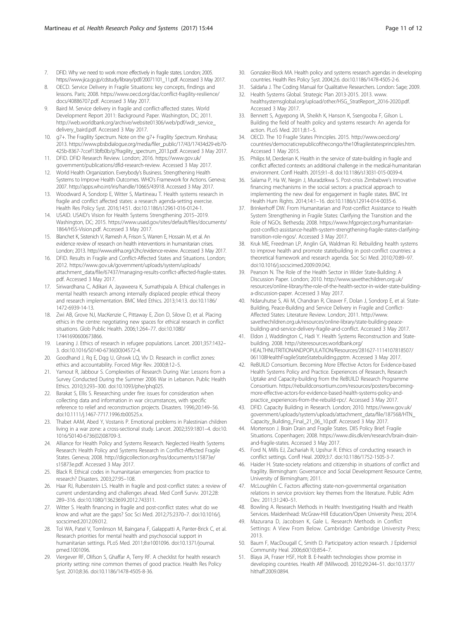- <span id="page-10-0"></span>7. DFID. Why we need to work more effectively in fragile states. London; 2005. [https://www.jica.go.jp/cdstudy/library/pdf/20071101\\_11.pdf](https://www.jica.go.jp/cdstudy/library/pdf/20071101_11.pdf). Accessed 3 May 2017.
- 8. OECD. Service Delivery in Fragile Situations: key concepts, findings and lessons. Paris; 2008. [https://www.oecd.org/dac/conflict-fragility-resilience/](https://www.oecd.org/dac/conflict-fragility-resilience/docs/40886707.pdf) [docs/40886707.pdf.](https://www.oecd.org/dac/conflict-fragility-resilience/docs/40886707.pdf) Accessed 3 May 2017.
- 9. Baird M. Service delivery in fragile and conflict-affected states. World Development Report 2011: Background Paper. Washington, DC; 2011. [http://web.worldbank.org/archive/website01306/web/pdf/wdr\\_service\\_](http://web.worldbank.org/archive/website01306/web/pdf/wdr_service_delivery_baird.pdf) [delivery\\_baird.pdf.](http://web.worldbank.org/archive/website01306/web/pdf/wdr_service_delivery_baird.pdf) Accessed 3 May 2017.
- 10. g7+. The Fragility Spectrum. Note on the g7+ Fragility Spectrum. Kinshasa; 2013. [https://www.pbsbdialogue.org/media/filer\\_public/17/43/17434d29-eb70-](https://www.pbsbdialogue.org/media/filer_public/17/43/17434d29-eb70-425b-8367-7ccef13bfb0b/g7fragility_spectrum_2013.pdf) [425b-8367-7ccef13bfb0b/g7fragility\\_spectrum\\_2013.pdf](https://www.pbsbdialogue.org/media/filer_public/17/43/17434d29-eb70-425b-8367-7ccef13bfb0b/g7fragility_spectrum_2013.pdf). Accessed 3 May 2017.
- 11. DFID. DFID Research Review. London; 2016. [https://www.gov.uk/](https://www.gov.uk/government/publications/dfid-research-review) [government/publications/dfid-research-review.](https://www.gov.uk/government/publications/dfid-research-review) Accessed 3 May 2017.
- 12. World Health Organization. Everybody's Business. Strengthening Health Systems to Improve Health Outcomes. WHO's Framework for Actions. Geneva; 2007.<http://apps.who.int/iris/handle/10665/43918>. Accessed 3 May 2017.
- 13. Woodward A, Sondorp E, Witter S, Martineau T, Health systems research in fragile and conflict affected states: a research agenda-setting exercise. Health Res Policy Syst. 2016;14:51. doi[:10.1186/s12961-016-0124-1.](http://dx.doi.org/10.1186/s12961-016-0124-1)
- 14. USAID. USAID's Vision for Health Systems Strengthening 2015–2019. Washington, DC; 2015. [https://www.usaid.gov/sites/default/files/documents/](https://www.usaid.gov/sites/default/files/documents/1864/HSS-Vision.pdf) [1864/HSS-Vision.pdf](https://www.usaid.gov/sites/default/files/documents/1864/HSS-Vision.pdf). Accessed 3 May 2017.
- 15. Blanchet K, Sistenich V, Ramesh A, Frison S, Warren E, Hossain M, et al. An evidence review of research on health interventions in humanitarian crises. London; 2013. [http://www.elrha.org/r2hc/evidence-review.](http://www.elrha.org/r2hc/evidence-review) Accessed 3 May 2017.
- 16. DFID. Results in Fragile and Conflict-Affected States and Situations. London; 2012. [https://www.gov.uk/government/uploads/system/uploads/](https://www.gov.uk/government/uploads/system/uploads/attachment_data/file/67437/managing-results-conflict-affected-fragile-states.pdf) [attachment\\_data/file/67437/managing-results-conflict-affected-fragile-states.](https://www.gov.uk/government/uploads/system/uploads/attachment_data/file/67437/managing-results-conflict-affected-fragile-states.pdf) [pdf](https://www.gov.uk/government/uploads/system/uploads/attachment_data/file/67437/managing-results-conflict-affected-fragile-states.pdf). Accessed 3 May 2017.
- 17. Siriwardhana C, Adikari A, Jayaweera K, Sumathipala A. Ethical challenges in mental health research among internally displaced people: ethical theory and research implementation. BMC Med Ethics. 2013;14:13. doi[:10.1186/](http://dx.doi.org/10.1186/1472-6939-14-13) [1472-6939-14-13.](http://dx.doi.org/10.1186/1472-6939-14-13)
- 18. Zwi AB, Grove NJ, MacKenzie C, Pittaway E, Zion D, Silove D, et al. Placing ethics in the centre: negotiating new spaces for ethical research in conflict situations. Glob Public Health. 2006;1:264–77. doi[:10.1080/](http://dx.doi.org/10.1080/17441690600673866) [17441690600673866.](http://dx.doi.org/10.1080/17441690600673866)
- 19. Leaning J. Ethics of research in refugee populations. Lancet. 2001;357:1432– 3. doi:[10.1016/S0140-6736\(00\)04572-4.](http://dx.doi.org/10.1016/S0140-6736(00)04572-4)
- 20. Goodhand J, Rq E, Dqg U, Ghswk LQ, Vlv D. Research in conflict zones: ethics and accountability. Forced Migr Rev. 2000;8:12–5.
- 21. Yamout R, Jabbour S. Complexities of Research During War: Lessons from a Survey Conducted During the Summer 2006 War in Lebanon. Public Health Ethics. 2010;3:293–300. doi:[10.1093/phe/phq025.](http://dx.doi.org/10.1093/phe/phq025)
- 22. Barakat S, Ellis S. Researching under fire: issues for consideration when collecting data and information in war circumstances, with specific reference to relief and reconstruction projects. Disasters. 1996;20:149–56. doi[:10.1111/j.1467-7717.1996.tb00525.x](http://dx.doi.org/10.1111/j.1467-7717.1996.tb00525.x).
- 23. Thabet AAM, Abed Y, Vostanis P. Emotional problems in Palestinian children living in a war zone: a cross-sectional study. Lancet. 2002;359:1801–4. doi:[10.](http://dx.doi.org/10.1016/S0140-6736(02)08709-3) [1016/S0140-6736\(02\)08709-3.](http://dx.doi.org/10.1016/S0140-6736(02)08709-3)
- 24. Alliance for Health Policy and Systems Research. Neglected Health Systems Research: Health Policy and Systems Research in Conflict-Affected Fragile States. Geneva; 2008. [http://digicollection.org/hss/documents/s15873e/](http://digicollection.org/hss/documents/s15873e/s15873e.pdf) [s15873e.pdf.](http://digicollection.org/hss/documents/s15873e/s15873e.pdf) Accessed 3 May 2017.
- 25. Black R. Ethical codes in humanitarian emergencies: from practice to research? Disasters. 2003;27:95–108.
- 26. Haar RJ, Rubenstein LS. Health in fragile and post-conflict states: a review of current understanding and challenges ahead. Med Confl Surviv. 2012;28: 289–316. doi[:10.1080/13623699.2012.743311](http://dx.doi.org/10.1080/13623699.2012.743311).
- 27. Witter S. Health financing in fragile and post-conflict states: what do we know and what are the gaps? Soc Sci Med. 2012;75:2370–7. doi:[10.1016/j.](http://dx.doi.org/10.1016/j.socscimed.2012.09.012) [socscimed.2012.09.012.](http://dx.doi.org/10.1016/j.socscimed.2012.09.012)
- 28. Tol WA, Patel V, Tomlinson M, Baingana F, Galappatti A, Panter-Brick C, et al. Research priorities for mental health and psychosocial support in humanitarian settings. PLoS Med. 2011;8:e1001096. doi[:10.1371/journal.](http://dx.doi.org/10.1371/journal.pmed.1001096) [pmed.1001096.](http://dx.doi.org/10.1371/journal.pmed.1001096)
- 29. Viergever RF, Olifson S, Ghaffar A, Terry RF. A checklist for health research priority setting: nine common themes of good practice. Health Res Policy Syst. 2010;8:36. doi[:10.1186/1478-4505-8-36.](http://dx.doi.org/10.1186/1478-4505-8-36)
- 30. Gonzalez-Block MA. Health policy and systems research agendas in developing countries. Health Res Policy Syst. 2004;2:6. doi[:10.1186/1478-4505-2-6.](http://dx.doi.org/10.1186/1478-4505-2-6)
- 31. Saldaña J. The Coding Manual for Qualitative Researchers. London: Sage; 2009.
- 32. Health Systems Global. Strategic Plan 2013-2015. 2013. [www.](http://www.healthsystemsglobal.org/upload/other/HSG_StratReport_2016-2020.pdf) [healthsystemsglobal.org/upload/other/HSG\\_StratReport\\_2016-2020.pdf.](http://www.healthsystemsglobal.org/upload/other/HSG_StratReport_2016-2020.pdf) Accessed 3 May 2017.
- 33. Bennett S, Agyepong IA, Sheikh K, Hanson K, Ssengooba F, Gilson L. Building the field of health policy and systems research: An agenda for action. PLoS Med. 2011;8:1–5.
- 34. OECD. The 10 Fragile States Principles. 2015. [http://www.oecd.org/](http://www.oecd.org/countries/democraticrepublicofthecongo/the10fragilestatesprinciples.htm) [countries/democraticrepublicofthecongo/the10fragilestatesprinciples.htm.](http://www.oecd.org/countries/democraticrepublicofthecongo/the10fragilestatesprinciples.htm) Accessed 1 May 2015.
- 35. Philips M, Derderian K. Health in the service of state-building in fragile and conflict affected contexts: an additional challenge in the medical-humanitarian environment. Confl Health. 2015;9:1–8. doi:[10.1186/s13031-015-0039-4.](http://dx.doi.org/10.1186/s13031-015-0039-4)
- 36. Salama P, Ha W, Negin J, Muradzikwa S. Post-crisis Zimbabwe's innovative financing mechanisms in the social sectors: a practical approach to implementing the new deal for engagement in fragile states. BMC Int Health Hum Rights. 2014;14:1–16. doi[:10.1186/s12914-014-0035-6.](http://dx.doi.org/10.1186/s12914-014-0035-6)
- 37. Brinkerhoff DW. From Humanitarian and Post-conflict Assistance to Health System Strengthening in Fragile States: Clarifying the Transition and the Role of NGOs. Bethesda; 2008. [https://www.hfgproject.org/humanitarian](https://www.hfgproject.org/humanitarian-post-conflict-assistance-health-system-strengthening-fragile-states-clarifying-transition-role-ngos/)[post-conflict-assistance-health-system-strengthening-fragile-states-clarifying](https://www.hfgproject.org/humanitarian-post-conflict-assistance-health-system-strengthening-fragile-states-clarifying-transition-role-ngos/)[transition-role-ngos/.](https://www.hfgproject.org/humanitarian-post-conflict-assistance-health-system-strengthening-fragile-states-clarifying-transition-role-ngos/) Accessed 3 May 2017.
- Kruk ME, Freedman LP, Anglin GA, Waldman RJ. Rebuilding health systems to improve health and promote statebuilding in post-conflict countries: a theoretical framework and research agenda. Soc Sci Med. 2010;70:89–97. doi[:10.1016/j.socscimed.2009.09.042.](http://dx.doi.org/10.1016/j.socscimed.2009.09.042)
- Pearson N. The Role of the Health Sector in Wider State-Building: A Discussion Paper. London; 2010. [http://www.savethechildren.org.uk/](http://www.savethechildren.org.uk/resources/online-library/the-role-of-the-health-sector-in-wider-state-building-a-discussion-paper) [resources/online-library/the-role-of-the-health-sector-in-wider-state-building](http://www.savethechildren.org.uk/resources/online-library/the-role-of-the-health-sector-in-wider-state-building-a-discussion-paper)[a-discussion-paper](http://www.savethechildren.org.uk/resources/online-library/the-role-of-the-health-sector-in-wider-state-building-a-discussion-paper). Accessed 3 May 2017.
- 40. Ndaruhutse S, Ali M, Chandran R, Cleaver F, Dolan J, Sondorp E, et al. State-Building, Peace-Building and Service Delivery in Fragile and Conflict-Affected States: Literature Review. London; 2011. [http://www.](http://www.savethechildren.org.uk/resources/online-library/state-building-peace-building-and-service-delivery-fragile-and-conflict) [savethechildren.org.uk/resources/online-library/state-building-peace](http://www.savethechildren.org.uk/resources/online-library/state-building-peace-building-and-service-delivery-fragile-and-conflict)[building-and-service-delivery-fragile-and-conflict.](http://www.savethechildren.org.uk/resources/online-library/state-building-peace-building-and-service-delivery-fragile-and-conflict) Accessed 3 May 2017.
- 41. Eldon J, Waddington C, Hadi Y. Health Systems Reconstruction and Statebuilding. 2008. [http://siteresources.worldbank.org/](http://siteresources.worldbank.org/HEALTHNUTRITIONANDPOPULATION/Resources/281627-1114107818507/061108HealthFragileStateStatebuilding.pptm) [HEALTHNUTRITIONANDPOPULATION/Resources/281627-1114107818507/](http://siteresources.worldbank.org/HEALTHNUTRITIONANDPOPULATION/Resources/281627-1114107818507/061108HealthFragileStateStatebuilding.pptm) [061108HealthFragileStateStatebuilding.pptm](http://siteresources.worldbank.org/HEALTHNUTRITIONANDPOPULATION/Resources/281627-1114107818507/061108HealthFragileStateStatebuilding.pptm). Accessed 3 May 2017.
- 42. ReBUILD Consortium. Becoming More Effective Actors for Evidence-based Health Systems Policy and Practice. Experiences of Research, Research Uptake and Capacity-building from the ReBUILD Research Programme Consortium. [https://rebuildconsortium.com/resources/posters/becoming](https://rebuildconsortium.com/resources/posters/becoming-more-effective-actors-for-evidence-based-health-systems-policy-and-practice_experiences-from-the-rebuild-rpc/)[more-effective-actors-for-evidence-based-health-systems-policy-and](https://rebuildconsortium.com/resources/posters/becoming-more-effective-actors-for-evidence-based-health-systems-policy-and-practice_experiences-from-the-rebuild-rpc/)[practice\\_experiences-from-the-rebuild-rpc/.](https://rebuildconsortium.com/resources/posters/becoming-more-effective-actors-for-evidence-based-health-systems-policy-and-practice_experiences-from-the-rebuild-rpc/) Accessed 3 May 2017.
- 43. DFID. Capacity Building in Research. London; 2010. [https://www.gov.uk/](https://www.gov.uk/government/uploads/system/uploads/attachment_data/file/187568/HTN_Capacity_Building_Final_21_06_10.pdf) [government/uploads/system/uploads/attachment\\_data/file/187568/HTN\\_](https://www.gov.uk/government/uploads/system/uploads/attachment_data/file/187568/HTN_Capacity_Building_Final_21_06_10.pdf) [Capacity\\_Building\\_Final\\_21\\_06\\_10.pdf](https://www.gov.uk/government/uploads/system/uploads/attachment_data/file/187568/HTN_Capacity_Building_Final_21_06_10.pdf). Accessed 3 May 2017.
- 44. Mortenson J. Brain Drain and Fragile States. DIIS Policy Brief: Fragile Situations. Copenhagen; 2008. [https://www.diis.dk/en/research/brain-drain](https://www.diis.dk/en/research/brain-drain-and-fragile-states)[and-fragile-states](https://www.diis.dk/en/research/brain-drain-and-fragile-states). Accessed 3 May 2017.
- 45. Ford N, Mills EJ, Zachariah R, Upshur R. Ethics of conducting research in conflict settings. Confl Heal. 2009;3:7. doi[:10.1186/1752-1505-3-7.](http://dx.doi.org/10.1186/1752-1505-3-7)
- 46. Haider H. State-society relations and citizenship in situations of conflict and fragility. Birmingham: Governance and Social Development Resource Centre, University of Birmingham; 2011.
- 47. McLoughlin C. Factors affecting state-non-governmental organisation relations in service provision: key themes from the literature. Public Adm Dev. 2011;31:240–51.
- 48. Bowling A. Research Methods in Health: Investigating Health and Health Services. Maidenhead: McGraw-Hill Education/Open University Press; 2014.
- 49. Mazurana D, Jacobsen K, Gale L. Research Methods in Conflict Settings: A View From Below. Cambridge: Cambridge University Press; 2013.
- 50. Baum F, MacDougall C, Smith D. Participatory action research. J Epidemiol Community Heal. 2006;60(10):854–7.
- 51. Blaya JA, Fraser HSF, Holt B. E-health technologies show promise in developing countries. Health Aff (Millwood). 2010;29:244–51. doi:[10.1377/](http://dx.doi.org/10.1377/hlthaff.2009.0894) [hlthaff.2009.0894](http://dx.doi.org/10.1377/hlthaff.2009.0894).